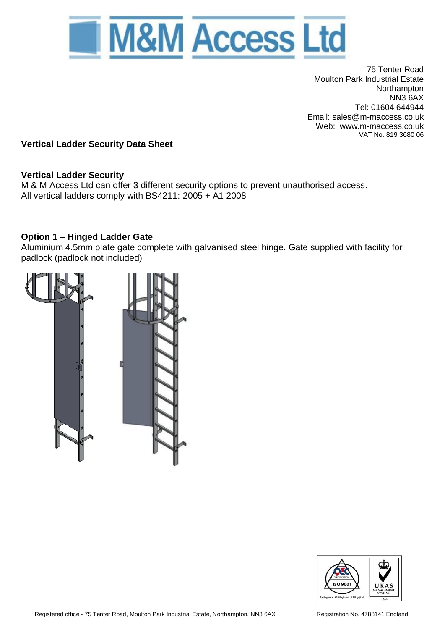

75 Tenter Road Moulton Park Industrial Estate Northampton NN3 6AX Tel: 01604 644944 Email: sales@m-maccess.co.uk Web: www.m-maccess.co.uk VAT No. 819 3680 06

**Vertical Ladder Security Data Sheet**

## **Vertical Ladder Security**

M & M Access Ltd can offer 3 different security options to prevent unauthorised access. All vertical ladders comply with BS4211: 2005 + A1 2008

## **Option 1 – Hinged Ladder Gate**

Aluminium 4.5mm plate gate complete with galvanised steel hinge. Gate supplied with facility for padlock (padlock not included)